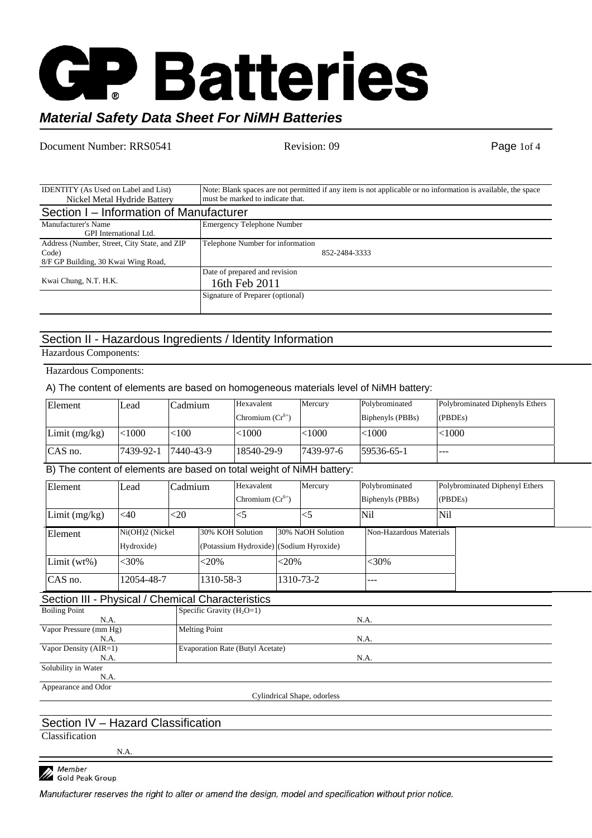

### *Material Safety Data Sheet For NiMH Batteries*

Document Number: RRS0541 Revision: 09 Revision: 09 Page 1of 4

| <b>IDENTITY</b> (As Used on Label and List)   | Note: Blank spaces are not permitted if any item is not applicable or no information is available, the space |  |  |  |
|-----------------------------------------------|--------------------------------------------------------------------------------------------------------------|--|--|--|
| Nickel Metal Hydride Battery                  | must be marked to indicate that.                                                                             |  |  |  |
| Section I – Information of Manufacturer       |                                                                                                              |  |  |  |
| Manufacturer's Name                           | <b>Emergency Telephone Number</b>                                                                            |  |  |  |
| GPI International Ltd.                        |                                                                                                              |  |  |  |
| Address (Number, Street, City State, and ZIP) | Telephone Number for information                                                                             |  |  |  |
| Code)                                         | 852-2484-3333                                                                                                |  |  |  |
| 8/F GP Building, 30 Kwai Wing Road,           |                                                                                                              |  |  |  |
|                                               | Date of prepared and revision                                                                                |  |  |  |
| Kwai Chung, N.T. H.K.                         | 16th Feb 2011                                                                                                |  |  |  |
|                                               | Signature of Preparer (optional)                                                                             |  |  |  |
|                                               |                                                                                                              |  |  |  |

### Section II - Hazardous Ingredients / Identity Information

Hazardous Components:

#### Hazardous Components:

A) The content of elements are based on homogeneous materials level of NiMH battery:

| Element         | ∟ead      | `admium   | Hexavalent           | Mercury          | Polybrominated   | Polybrominated Diphenyls Ethers |
|-----------------|-----------|-----------|----------------------|------------------|------------------|---------------------------------|
|                 |           |           | Chromium $(Cr^{0+})$ |                  | Biphenyls (PBBs) | (PBDEs)                         |
| Limit $(mg/kg)$ | $<$ 1000  | $<$ 100   | < 1000               | $<$ 1000         | <1000            | < 1000                          |
| CAS no.         | 7439-92-1 | 7440-43-9 | 18540-29-9           | $17439 - 97 - 6$ | 59536-65-1       | $- - -$                         |

B) The content of elements are based on total weight of NiMH battery:

| Element         | Lead            | Cadmium |                  | Hexavalent           |           | Mercury                                 | Polybrominated   |                         | Polybrominated Diphenyl Ethers |  |
|-----------------|-----------------|---------|------------------|----------------------|-----------|-----------------------------------------|------------------|-------------------------|--------------------------------|--|
|                 |                 |         |                  | Chromium $(Cr^{6+})$ |           |                                         | Biphenyls (PBBs) |                         | (PBDEs)                        |  |
| Limit $(mg/kg)$ | $<$ 40          | $<$ 20  |                  |                      |           |                                         | Nil              | <b>Nil</b>              |                                |  |
| Element         | Ni(OH)2 (Nickel |         | 30% KOH Solution |                      |           | 30% NaOH Solution                       |                  | Non-Hazardous Materials |                                |  |
|                 | Hydroxide)      |         |                  |                      |           | (Potassium Hydroxide) (Sodium Hyroxide) |                  |                         |                                |  |
| $Limit(wt\%)$   | $<$ 30%         |         | $<20\%$          |                      | $<20\%$   |                                         | $<$ 30%          |                         |                                |  |
| CAS no.         | 12054-48-7      |         | 1310-58-3        |                      | 1310-73-2 |                                         | ---              |                         |                                |  |

### Section III - Physical / Chemical Characteristics

| <b>Boiling Point</b>   | Specific Gravity $(H_2O=1)$      |
|------------------------|----------------------------------|
| N.A.                   | N.A.                             |
| Vapor Pressure (mm Hg) | <b>Melting Point</b>             |
| N.A.                   | N.A.                             |
| Vapor Density (AIR=1)  | Evaporation Rate (Butyl Acetate) |
| N.A.                   | N.A.                             |
| Solubility in Water    |                                  |
| N.A.                   |                                  |
| Appearance and Odor    |                                  |

Cylindrical Shape, odorless

### Section IV – Hazard Classification

Classification

N.A.

Member **A** Member<br>**A** Gold Peak Group

Manufacturer reserves the right to alter or amend the design, model and specification without prior notice.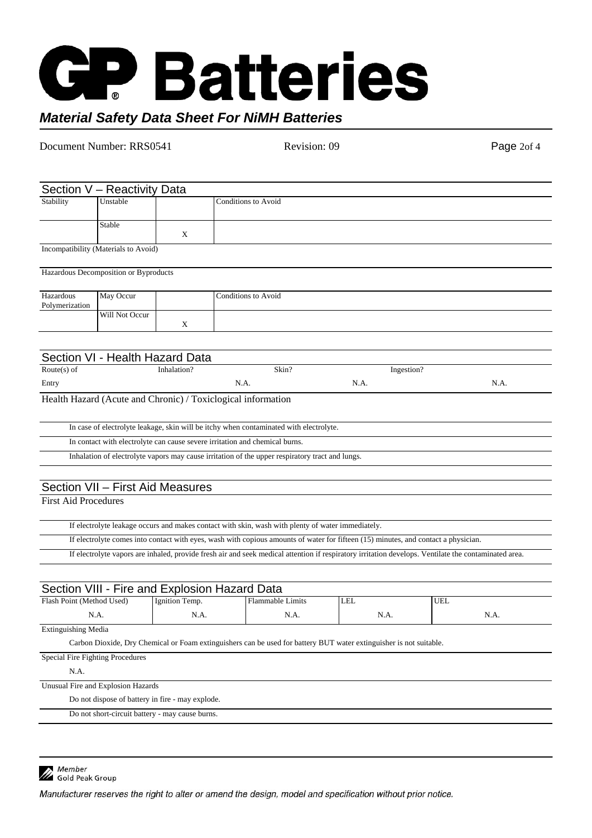## CH **Batteries** *Material Safety Data Sheet For NiMH Batteries*

| Document Number: RRS0541    |                                       | Revision: 09   | Page 2of 4                                                                                        |                                                                                                                                                      |      |
|-----------------------------|---------------------------------------|----------------|---------------------------------------------------------------------------------------------------|------------------------------------------------------------------------------------------------------------------------------------------------------|------|
|                             |                                       |                |                                                                                                   |                                                                                                                                                      |      |
|                             | Section V - Reactivity Data           |                |                                                                                                   |                                                                                                                                                      |      |
| Stability                   | Unstable                              |                | <b>Conditions to Avoid</b>                                                                        |                                                                                                                                                      |      |
|                             | Stable                                | X              |                                                                                                   |                                                                                                                                                      |      |
|                             | Incompatibility (Materials to Avoid)  |                |                                                                                                   |                                                                                                                                                      |      |
|                             | Hazardous Decomposition or Byproducts |                |                                                                                                   |                                                                                                                                                      |      |
| Hazardous<br>Polymerization | May Occur                             |                | <b>Conditions to Avoid</b>                                                                        |                                                                                                                                                      |      |
|                             | Will Not Occur                        | X              |                                                                                                   |                                                                                                                                                      |      |
|                             |                                       |                |                                                                                                   |                                                                                                                                                      |      |
|                             | Section VI - Health Hazard Data       |                |                                                                                                   |                                                                                                                                                      |      |
| Route $(s)$ of              |                                       | Inhalation?    | Skin?                                                                                             | Ingestion?                                                                                                                                           |      |
| Entry                       |                                       |                | N.A.                                                                                              | N.A.                                                                                                                                                 | N.A. |
|                             |                                       |                | Health Hazard (Acute and Chronic) / Toxiclogical information                                      |                                                                                                                                                      |      |
|                             |                                       |                | In case of electrolyte leakage, skin will be itchy when contaminated with electrolyte.            |                                                                                                                                                      |      |
|                             |                                       |                | In contact with electrolyte can cause severe irritation and chemical burns.                       |                                                                                                                                                      |      |
|                             |                                       |                | Inhalation of electrolyte vapors may cause irritation of the upper respiratory tract and lungs.   |                                                                                                                                                      |      |
|                             | Section VII - First Aid Measures      |                |                                                                                                   |                                                                                                                                                      |      |
| <b>First Aid Procedures</b> |                                       |                |                                                                                                   |                                                                                                                                                      |      |
|                             |                                       |                | If electrolyte leakage occurs and makes contact with skin, wash with plenty of water immediately. |                                                                                                                                                      |      |
|                             |                                       |                |                                                                                                   | If electrolyte comes into contact with eyes, wash with copious amounts of water for fifteen (15) minutes, and contact a physician.                   |      |
|                             |                                       |                |                                                                                                   | If electrolyte vapors are inhaled, provide fresh air and seek medical attention if respiratory irritation develops. Ventilate the contaminated area. |      |
|                             |                                       |                |                                                                                                   |                                                                                                                                                      |      |
| Flash Point (Method Used)   |                                       | Ignition Temp. | Section VIII - Fire and Explosion Hazard Data<br><b>Flammable Limits</b>                          | <b>LEL</b><br><b>UEL</b>                                                                                                                             |      |

Extinguishing Media Carbon Dioxide, Dry Chemical or Foam extinguishers can be used for battery BUT water extinguisher is not suitable.

N.A.

N.A.

N.A.

N.A.

### Special Fire Fighting Procedures

N.A.

N.A.

Unusual Fire and Explosion Hazards

Do not dispose of battery in fire - may explode.

Do not short-circuit battery - may cause burns.



Member<br>A Gold Peak Group

Manufacturer reserves the right to alter or amend the design, model and specification without prior notice.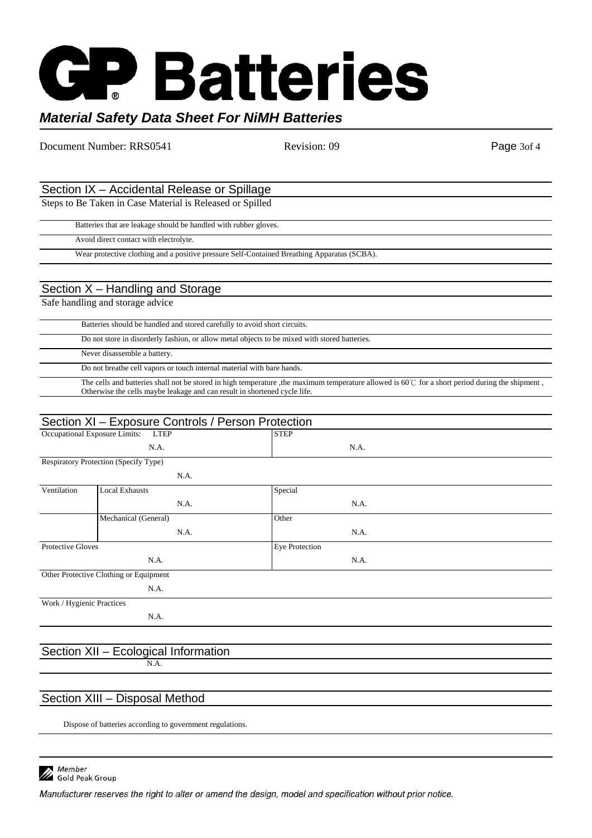# **P Batteries** *Material Safety Data Sheet For NiMH Batteries*

Document Number: RRS0541 Revision: 09 Revision: 09 Page 3of 4 Section IX – Accidental Release or Spillage Steps to Be Taken in Case Material is Released or Spilled Batteries that are leakage should be handled with rubber gloves. Avoid direct contact with electrolyte. Wear protective clothing and a positive pressure Self-Contained Breathing Apparatus (SCBA). Section X – Handling and Storage Safe handling and storage advice Batteries should be handled and stored carefully to avoid short circuits. Do not store in disorderly fashion, or allow metal objects to be mixed with stored batteries. Never disassemble a battery. Do not breathe cell vapors or touch internal material with bare hands. The cells and batteries shall not be stored in high temperature ,the maximum temperature allowed is 60°C for a short period during the shipment, Otherwise the cells maybe leakage and can result in shortened cycle life. Section XI – Exposure Controls / Person Protection Occupational Exposure Limits: LTEP N.A. **STEP** N.A. Respiratory Protection (Specify Type) N.A. Ventilation Local Exhausts N.A. Special N.A. Mechanical (General) N.A. **Other** N.A.

Protective Gloves N.A. Eye Protection N.A. Other Protective Clothing or Equipment N.A. Work / Hygienic Practices N.A. Section XII – Ecological Information N.A.

### Section XIII – Disposal Method

Dispose of batteries according to government regulations.



Manufacturer reserves the right to alter or amend the design, model and specification without prior notice.